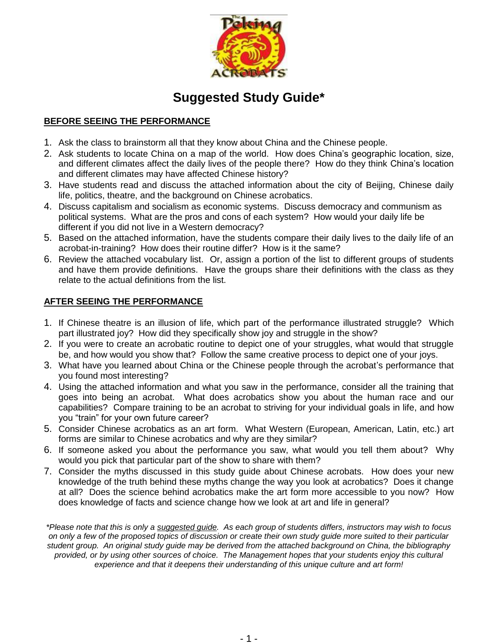

# **Suggested Study Guide\***

## **BEFORE SEEING THE PERFORMANCE**

- 1. Ask the class to brainstorm all that they know about China and the Chinese people.
- 2. Ask students to locate China on a map of the world. How does China's geographic location, size, and different climates affect the daily lives of the people there? How do they think China's location and different climates may have affected Chinese history?
- 3. Have students read and discuss the attached information about the city of Beijing, Chinese daily life, politics, theatre, and the background on Chinese acrobatics.
- 4. Discuss capitalism and socialism as economic systems. Discuss democracy and communism as political systems. What are the pros and cons of each system? How would your daily life be different if you did not live in a Western democracy?
- 5. Based on the attached information, have the students compare their daily lives to the daily life of an acrobat-in-training? How does their routine differ? How is it the same?
- 6. Review the attached vocabulary list. Or, assign a portion of the list to different groups of students and have them provide definitions. Have the groups share their definitions with the class as they relate to the actual definitions from the list.

## **AFTER SEEING THE PERFORMANCE**

- 1. If Chinese theatre is an illusion of life, which part of the performance illustrated struggle? Which part illustrated joy? How did they specifically show joy and struggle in the show?
- 2. If you were to create an acrobatic routine to depict one of your struggles, what would that struggle be, and how would you show that? Follow the same creative process to depict one of your joys.
- 3. What have you learned about China or the Chinese people through the acrobat's performance that you found most interesting?
- 4. Using the attached information and what you saw in the performance, consider all the training that goes into being an acrobat. What does acrobatics show you about the human race and our capabilities? Compare training to be an acrobat to striving for your individual goals in life, and how you "train" for your own future career?
- 5. Consider Chinese acrobatics as an art form. What Western (European, American, Latin, etc.) art forms are similar to Chinese acrobatics and why are they similar?
- 6. If someone asked you about the performance you saw, what would you tell them about? Why would you pick that particular part of the show to share with them?
- 7. Consider the myths discussed in this study guide about Chinese acrobats. How does your new knowledge of the truth behind these myths change the way you look at acrobatics? Does it change at all? Does the science behind acrobatics make the art form more accessible to you now? How does knowledge of facts and science change how we look at art and life in general?

*\*Please note that this is only a suggested guide. As each group of students differs, instructors may wish to focus on only a few of the proposed topics of discussion or create their own study guide more suited to their particular student group. An original study guide may be derived from the attached background on China, the bibliography provided, or by using other sources of choice. The Management hopes that your students enjoy this cultural experience and that it deepens their understanding of this unique culture and art form!*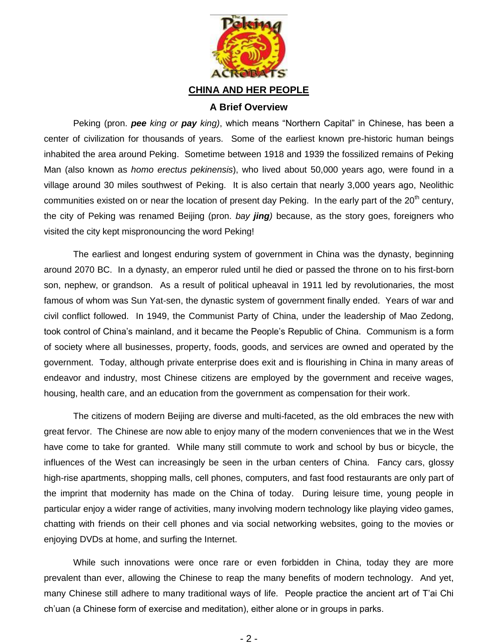

## **A Brief Overview**

Peking (pron. *pee king or pay king)*, which means "Northern Capital" in Chinese, has been a center of civilization for thousands of years. Some of the earliest known pre-historic human beings inhabited the area around Peking. Sometime between 1918 and 1939 the fossilized remains of Peking Man (also known as *homo erectus pekinensis*), who lived about 50,000 years ago, were found in a village around 30 miles southwest of Peking. It is also certain that nearly 3,000 years ago, Neolithic communities existed on or near the location of present day Peking. In the early part of the 20<sup>th</sup> century, the city of Peking was renamed Beijing (pron. *bay jing)* because, as the story goes, foreigners who visited the city kept mispronouncing the word Peking!

The earliest and longest enduring system of government in China was the dynasty, beginning around 2070 BC. In a dynasty, an emperor ruled until he died or passed the throne on to his first-born son, nephew, or grandson. As a result of political upheaval in 1911 led by revolutionaries, the most famous of whom was Sun Yat-sen, the dynastic system of government finally ended. Years of war and civil conflict followed. In 1949, the Communist Party of China, under the leadership of Mao Zedong, took control of China's mainland, and it became the People's Republic of China. Communism is a form of society where all businesses, property, foods, goods, and services are owned and operated by the government. Today, although private enterprise does exit and is flourishing in China in many areas of endeavor and industry, most Chinese citizens are employed by the government and receive wages, housing, health care, and an education from the government as compensation for their work.

The citizens of modern Beijing are diverse and multi-faceted, as the old embraces the new with great fervor. The Chinese are now able to enjoy many of the modern conveniences that we in the West have come to take for granted. While many still commute to work and school by bus or bicycle, the influences of the West can increasingly be seen in the urban centers of China. Fancy cars, glossy high-rise apartments, shopping malls, cell phones, computers, and fast food restaurants are only part of the imprint that modernity has made on the China of today. During leisure time, young people in particular enjoy a wider range of activities, many involving modern technology like playing video games, chatting with friends on their cell phones and via social networking websites, going to the movies or enjoying DVDs at home, and surfing the Internet.

While such innovations were once rare or even forbidden in China, today they are more prevalent than ever, allowing the Chinese to reap the many benefits of modern technology. And yet, many Chinese still adhere to many traditional ways of life. People practice the ancient art of T'ai Chi ch'uan (a Chinese form of exercise and meditation), either alone or in groups in parks.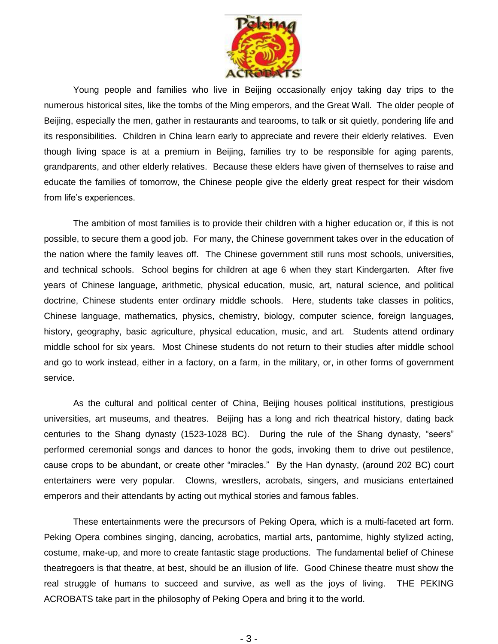

Young people and families who live in Beijing occasionally enjoy taking day trips to the numerous historical sites, like the tombs of the Ming emperors, and the Great Wall. The older people of Beijing, especially the men, gather in restaurants and tearooms, to talk or sit quietly, pondering life and its responsibilities. Children in China learn early to appreciate and revere their elderly relatives. Even though living space is at a premium in Beijing, families try to be responsible for aging parents, grandparents, and other elderly relatives. Because these elders have given of themselves to raise and educate the families of tomorrow, the Chinese people give the elderly great respect for their wisdom from life's experiences.

The ambition of most families is to provide their children with a higher education or, if this is not possible, to secure them a good job. For many, the Chinese government takes over in the education of the nation where the family leaves off. The Chinese government still runs most schools, universities, and technical schools. School begins for children at age 6 when they start Kindergarten. After five years of Chinese language, arithmetic, physical education, music, art, natural science, and political doctrine, Chinese students enter ordinary middle schools. Here, students take classes in politics, Chinese language, mathematics, physics, chemistry, biology, computer science, foreign languages, history, geography, basic agriculture, physical education, music, and art. Students attend ordinary middle school for six years. Most Chinese students do not return to their studies after middle school and go to work instead, either in a factory, on a farm, in the military, or, in other forms of government service.

As the cultural and political center of China, Beijing houses political institutions, prestigious universities, art museums, and theatres. Beijing has a long and rich theatrical history, dating back centuries to the Shang dynasty (1523-1028 BC). During the rule of the Shang dynasty, "seers" performed ceremonial songs and dances to honor the gods, invoking them to drive out pestilence, cause crops to be abundant, or create other "miracles." By the Han dynasty, (around 202 BC) court entertainers were very popular. Clowns, wrestlers, acrobats, singers, and musicians entertained emperors and their attendants by acting out mythical stories and famous fables.

These entertainments were the precursors of Peking Opera, which is a multi-faceted art form. Peking Opera combines singing, dancing, acrobatics, martial arts, pantomime, highly stylized acting, costume, make-up, and more to create fantastic stage productions. The fundamental belief of Chinese theatregoers is that theatre, at best, should be an illusion of life. Good Chinese theatre must show the real struggle of humans to succeed and survive, as well as the joys of living. THE PEKING ACROBATS take part in the philosophy of Peking Opera and bring it to the world.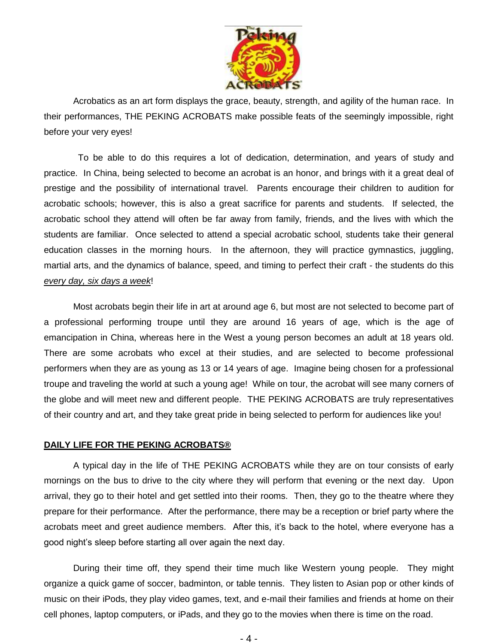

Acrobatics as an art form displays the grace, beauty, strength, and agility of the human race. In their performances, THE PEKING ACROBATS make possible feats of the seemingly impossible, right before your very eyes!

To be able to do this requires a lot of dedication, determination, and years of study and practice. In China, being selected to become an acrobat is an honor, and brings with it a great deal of prestige and the possibility of international travel. Parents encourage their children to audition for acrobatic schools; however, this is also a great sacrifice for parents and students. If selected, the acrobatic school they attend will often be far away from family, friends, and the lives with which the students are familiar. Once selected to attend a special acrobatic school, students take their general education classes in the morning hours. In the afternoon, they will practice gymnastics, juggling, martial arts, and the dynamics of balance, speed, and timing to perfect their craft - the students do this *every day, six days a week*!

Most acrobats begin their life in art at around age 6, but most are not selected to become part of a professional performing troupe until they are around 16 years of age, which is the age of emancipation in China, whereas here in the West a young person becomes an adult at 18 years old. There are some acrobats who excel at their studies, and are selected to become professional performers when they are as young as 13 or 14 years of age. Imagine being chosen for a professional troupe and traveling the world at such a young age! While on tour, the acrobat will see many corners of the globe and will meet new and different people. THE PEKING ACROBATS are truly representatives of their country and art, and they take great pride in being selected to perform for audiences like you!

### **DAILY LIFE FOR THE PEKING ACROBATS®**

A typical day in the life of THE PEKING ACROBATS while they are on tour consists of early mornings on the bus to drive to the city where they will perform that evening or the next day. Upon arrival, they go to their hotel and get settled into their rooms. Then, they go to the theatre where they prepare for their performance. After the performance, there may be a reception or brief party where the acrobats meet and greet audience members. After this, it's back to the hotel, where everyone has a good night's sleep before starting all over again the next day.

During their time off, they spend their time much like Western young people. They might organize a quick game of soccer, badminton, or table tennis. They listen to Asian pop or other kinds of music on their iPods, they play video games, text, and e-mail their families and friends at home on their cell phones, laptop computers, or iPads, and they go to the movies when there is time on the road.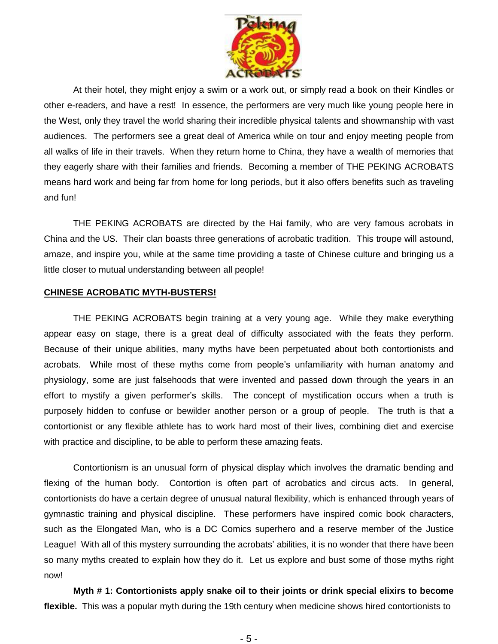

At their hotel, they might enjoy a swim or a work out, or simply read a book on their Kindles or other e-readers, and have a rest! In essence, the performers are very much like young people here in the West, only they travel the world sharing their incredible physical talents and showmanship with vast audiences. The performers see a great deal of America while on tour and enjoy meeting people from all walks of life in their travels. When they return home to China, they have a wealth of memories that they eagerly share with their families and friends. Becoming a member of THE PEKING ACROBATS means hard work and being far from home for long periods, but it also offers benefits such as traveling and fun!

THE PEKING ACROBATS are directed by the Hai family, who are very famous acrobats in China and the US. Their clan boasts three generations of acrobatic tradition. This troupe will astound, amaze, and inspire you, while at the same time providing a taste of Chinese culture and bringing us a little closer to mutual understanding between all people!

#### **CHINESE ACROBATIC MYTH-BUSTERS!**

THE PEKING ACROBATS begin training at a very young age. While they make everything appear easy on stage, there is a great deal of difficulty associated with the feats they perform. Because of their unique abilities, many myths have been perpetuated about both contortionists and acrobats. While most of these myths come from people's unfamiliarity with human [anatomy](http://www.answers.com/topic/anatomy) and [physiology,](http://www.answers.com/topic/physiology) some are just falsehoods that were invented and passed down through the years in an effort to mystify a given performer's skills. The concept of mystification occurs when a truth is purposely hidden to confuse or bewilder another person or a group of people. The truth is that a contortionist or any flexible athlete has to work hard most of their lives, combining diet and exercise with practice and discipline, to be able to perform these amazing feats.

Contortionism is an unusual form of physical display which involves the dramatic bending and flexing of the human body. Contortion is often part of acrobatics and circus acts. In general, contortionists do have a certain degree of unusual natural flexibility, which is enhanced through years of gymnastic training and physical discipline. These performers have inspired comic book characters, such as the Elongated Man, who is a DC Comics superhero and a reserve member of the Justice League! With all of this mystery surrounding the acrobats' abilities, it is no wonder that there have been so many myths created to explain how they do it. Let us explore and bust some of those myths right now!

**Myth # 1: Contortionists apply [snake oil](http://www.answers.com/topic/snake-oil-1) to their joints or drink special elixirs to become flexible.** This was a popular myth during the 19th century when medicine shows hired contortionists to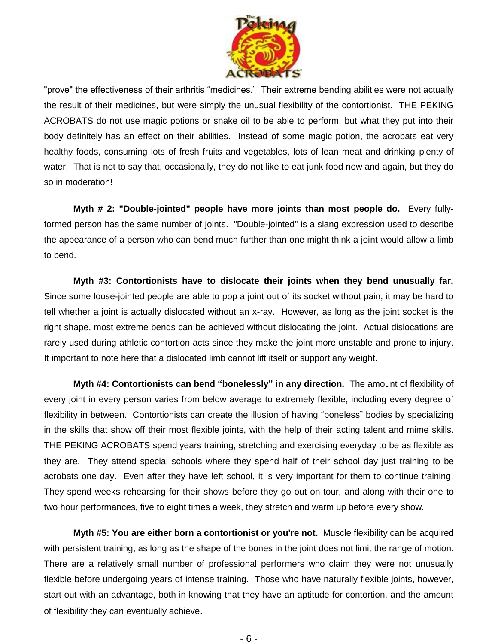

"prove" the effectiveness of their arthritis "medicines." Their extreme bending abilities were not actually the result of their medicines, but were simply the unusual flexibility of the contortionist. THE PEKING ACROBATS do not use magic potions or snake oil to be able to perform, but what they put into their body definitely has an effect on their abilities. Instead of some magic potion, the acrobats eat very healthy foods, consuming lots of fresh fruits and vegetables, lots of lean meat and drinking plenty of water. That is not to say that, occasionally, they do not like to eat junk food now and again, but they do so in moderation!

**Myth # 2: "Double-jointed" people have more joints than most people do.** Every fullyformed person has the same number of [joints.](http://www.answers.com/topic/joint) "Double-jointed" is a slang expression used to describe the appearance of a person who can bend much further than one might think a joint would allow a limb to bend.

**Myth #3: Contortionists have to dislocate their joints when they bend unusually far.** Since some loose-jointed people are able to pop a joint out of its socket without pain, it may be hard to tell whether a joint is actually dislocated without an x-ray. However, as long as the joint socket is the right shape, most extreme bends can be achieved without dislocating the joint. Actual dislocations are rarely used during athletic contortion acts since they make the joint more unstable and prone to injury. It important to note here that a dislocated limb cannot lift itself or support any weight.

**Myth #4: Contortionists can bend "bonelessly" in any direction.** The amount of flexibility of every joint in every person varies from below average to extremely flexible, including every degree of flexibility in between. Contortionists can create the [illusion](http://www.answers.com/topic/illusion) of having "boneless" bodies by specializing in the skills that show off their most flexible joints, with the help of their [acting](http://www.answers.com/topic/acting) talent and [mime](http://www.answers.com/topic/mime) skills. THE PEKING ACROBATS spend years training, stretching and exercising everyday to be as flexible as they are. They attend special schools where they spend half of their school day just training to be acrobats one day. Even after they have left school, it is very important for them to continue training. They spend weeks rehearsing for their shows before they go out on tour, and along with their one to two hour performances, five to eight times a week, they stretch and warm up before every show.

**Myth #5: You are either born a contortionist or you're not.** [Muscle](http://www.answers.com/topic/muscle) flexibility can be acquired with persistent training, as long as the shape of the bones in the joint does not limit the range of motion. There are a relatively small number of professional performers who claim they were not unusually flexible before undergoing years of intense training. Those who have naturally flexible joints, however, start out with an advantage, both in knowing that they have an aptitude for contortion, and the amount of flexibility they can eventually achieve.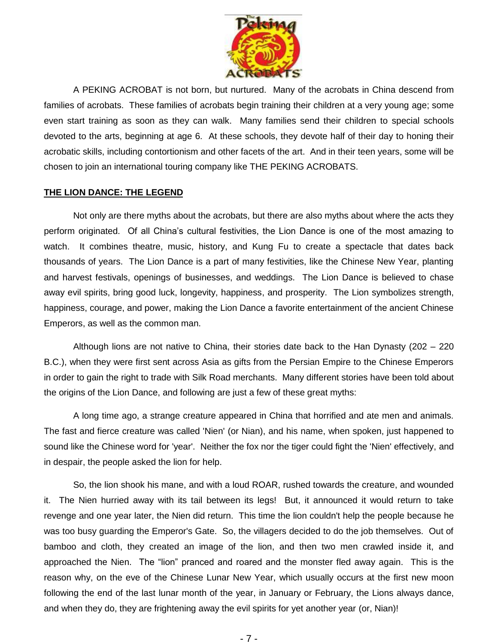

A PEKING ACROBAT is not born, but nurtured. Many of the acrobats in China descend from families of acrobats. These families of acrobats begin training their children at a very young age; some even start training as soon as they can walk. Many families send their children to special schools devoted to the arts, beginning at age 6. At these schools, they devote half of their day to honing their acrobatic skills, including contortionism and other facets of the art. And in their teen years, some will be chosen to join an international touring company like THE PEKING ACROBATS.

#### **THE LION DANCE: THE LEGEND**

Not only are there myths about the acrobats, but there are also myths about where the acts they perform originated. Of all China's cultural festivities, the Lion Dance is one of the most amazing to watch. It combines theatre, music, history, and Kung Fu to create a spectacle that dates back thousands of years. The Lion Dance is a part of many festivities, like the Chinese New Year, planting and harvest festivals, openings of businesses, and weddings. The Lion Dance is believed to chase away evil spirits, bring good luck, longevity, happiness, and prosperity. The Lion symbolizes strength, happiness, courage, and power, making the Lion Dance a favorite entertainment of the ancient Chinese Emperors, as well as the common man.

Although lions are not native to China, their stories date back to the Han Dynasty (202 – 220 B.C.), when they were first sent across Asia as gifts from the Persian Empire to the Chinese Emperors in order to gain the right to trade with Silk Road merchants. Many different stories have been told about the origins of the Lion Dance, and following are just a few of these great myths:

A long time ago, a strange creature appeared in China that horrified and ate men and animals. The fast and fierce creature was called 'Nien' (or Nian), and his name, when spoken, just happened to sound like the Chinese word for 'year'. Neither the fox nor the tiger could fight the 'Nien' effectively, and in despair, the people asked the lion for help.

So, the lion shook his mane, and with a loud ROAR, rushed towards the creature, and wounded it. The Nien hurried away with its tail between its legs! But, it announced it would return to take revenge and one year later, the Nien did return. This time the lion couldn't help the people because he was too busy guarding the Emperor's Gate. So, the villagers decided to do the job themselves. Out of bamboo and cloth, they created an image of the lion, and then two men crawled inside it, and approached the Nien. The "lion" pranced and roared and the monster fled away again. This is the reason why, on the eve of the Chinese Lunar New Year, which usually occurs at the first new moon following the end of the last lunar month of the year, in January or February, the Lions always dance, and when they do, they are frightening away the evil spirits for yet another year (or, Nian)!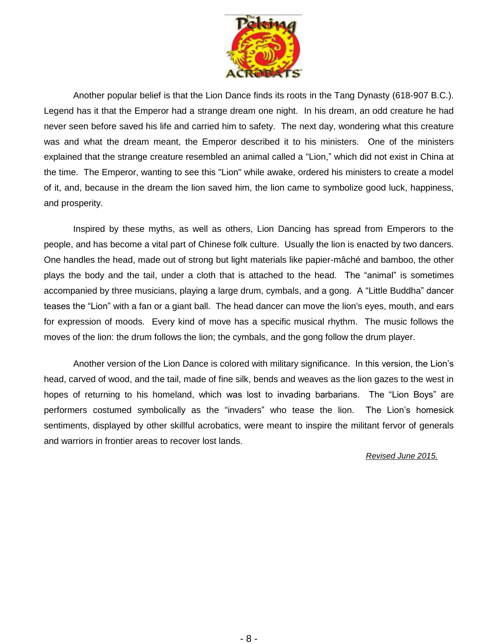

Another popular belief is that the Lion Dance finds its roots in the Tang Dynasty (618-907 B.C.). Legend has it that the Emperor had a strange dream one night. In his dream, an odd creature he had never seen before saved his life and carried him to safety. The next day, wondering what this creature was and what the dream meant, the Emperor described it to his ministers. One of the ministers explained that the strange creature resembled an animal called a "Lion," which did not exist in China at the time. The Emperor, wanting to see this "Lion" while awake, ordered his ministers to create a model of it, and, because in the dream the lion saved him, the lion came to symbolize good luck, happiness, and prosperity.

Inspired by these myths, as well as others, Lion Dancing has spread from Emperors to the people, and has become a vital part of Chinese folk culture. Usually the lion is enacted by two dancers. One handles the head, made out of strong but light materials like papier-mâché and bamboo, the other plays the body and the tail, under a cloth that is attached to the head. The "animal" is sometimes accompanied by three musicians, playing a large drum, cymbals, and a gong. A "Little Buddha" dancer teases the "Lion" with a fan or a giant ball. The head dancer can move the lion's eyes, mouth, and ears for expression of moods. Every kind of move has a specific musical rhythm. The music follows the moves of the lion: the drum follows the lion; the cymbals, and the gong follow the drum player.

Another version of the Lion Dance is colored with military significance. In this version, the Lion's head, carved of wood, and the tail, made of fine silk, bends and weaves as the lion gazes to the west in hopes of returning to his homeland, which was lost to invading barbarians. The "Lion Boys" are performers costumed symbolically as the "invaders" who tease the lion. The Lion's homesick sentiments, displayed by other skillful acrobatics, were meant to inspire the militant fervor of generals and warriors in frontier areas to recover lost lands.

*Revised June 2015.*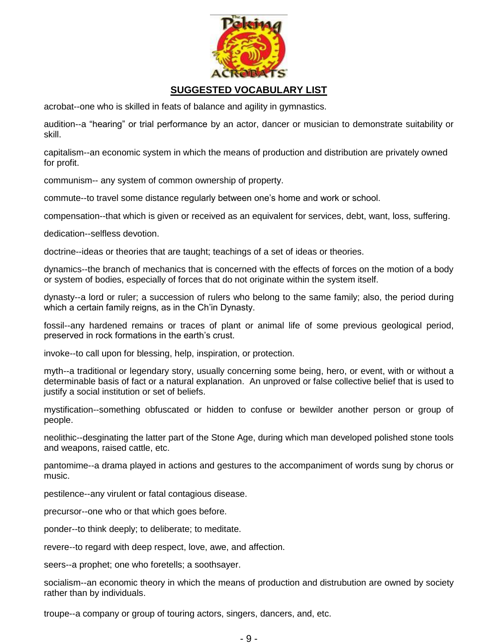

# **SUGGESTED VOCABULARY LIST**

acrobat--one who is skilled in feats of balance and agility in gymnastics.

audition--a "hearing" or trial performance by an actor, dancer or musician to demonstrate suitability or skill.

capitalism--an economic system in which the means of production and distribution are privately owned for profit.

communism-- any system of common ownership of property.

commute--to travel some distance regularly between one's home and work or school.

compensation--that which is given or received as an equivalent for services, debt, want, loss, suffering.

dedication--selfless devotion.

doctrine--ideas or theories that are taught; teachings of a set of ideas or theories.

dynamics--the branch of mechanics that is concerned with the effects of forces on the motion of a body or system of bodies, especially of forces that do not originate within the system itself.

dynasty--a lord or ruler; a succession of rulers who belong to the same family; also, the period during which a certain family reigns, as in the Ch'in Dynasty.

fossil--any hardened remains or traces of plant or animal life of some previous geological period, preserved in rock formations in the earth's crust.

invoke--to call upon for blessing, help, inspiration, or protection.

myth--a traditional or legendary story, usually concerning some being, hero, or event, with or without a determinable basis of fact or a natural explanation. An unproved or false collective belief that is used to justify a social institution or set of beliefs.

mystification--something obfuscated or hidden to confuse or bewilder another person or group of people.

neolithic--desginating the latter part of the Stone Age, during which man developed polished stone tools and weapons, raised cattle, etc.

pantomime--a drama played in actions and gestures to the accompaniment of words sung by chorus or music.

pestilence--any virulent or fatal contagious disease.

precursor--one who or that which goes before.

ponder--to think deeply; to deliberate; to meditate.

revere--to regard with deep respect, love, awe, and affection.

seers--a prophet; one who foretells; a soothsayer.

socialism--an economic theory in which the means of production and distrubution are owned by society rather than by individuals.

troupe--a company or group of touring actors, singers, dancers, and, etc.